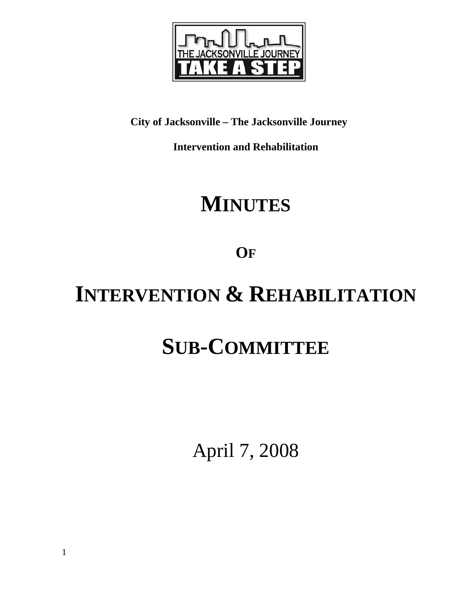

# **City of Jacksonville – The Jacksonville Journey**

**Intervention and Rehabilitation** 

# **MINUTES**

**OF**

# **INTERVENTION & REHABILITATION**

# **SUB-COMMITTEE**

April 7, 2008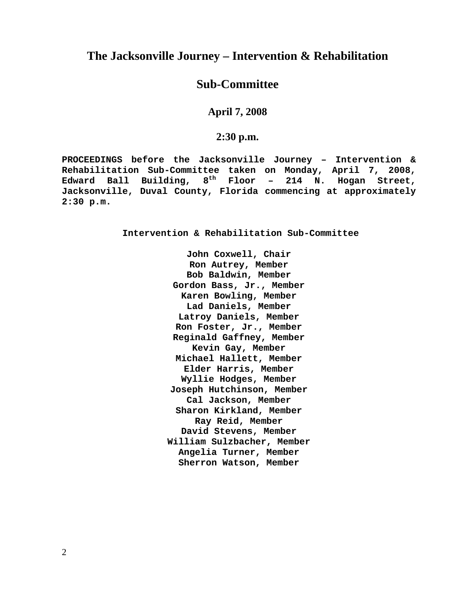## **The Jacksonville Journey – Intervention & Rehabilitation**

## **Sub-Committee**

**April 7, 2008** 

**2:30 p.m.**

**PROCEEDINGS before the Jacksonville Journey – Intervention & Rehabilitation Sub-Committee taken on Monday, April 7, 2008, Edward Ball Building, 8th Floor – 214 N. Hogan Street, Jacksonville, Duval County, Florida commencing at approximately 2:30 p.m.** 

**Intervention & Rehabilitation Sub-Committee** 

**John Coxwell, Chair Ron Autrey, Member Bob Baldwin, Member Gordon Bass, Jr., Member Karen Bowling, Member Lad Daniels, Member Latroy Daniels, Member Ron Foster, Jr., Member Reginald Gaffney, Member Kevin Gay, Member Michael Hallett, Member Elder Harris, Member Wyllie Hodges, Member Joseph Hutchinson, Member Cal Jackson, Member Sharon Kirkland, Member Ray Reid, Member David Stevens, Member William Sulzbacher, Member Angelia Turner, Member Sherron Watson, Member**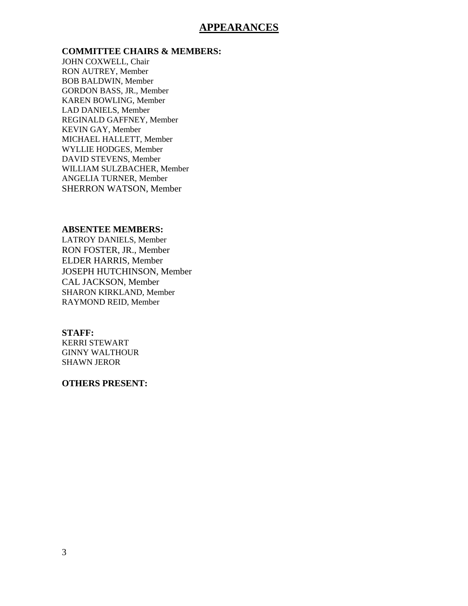### **APPEARANCES**

**COMMITTEE CHAIRS & MEMBERS:**

JOHN COXWELL, Chair RON AUTREY, Member BOB BALDWIN, Member GORDON BASS, JR., Member KAREN BOWLING, Member LAD DANIELS, Member REGINALD GAFFNEY, Member KEVIN GAY, Member MICHAEL HALLETT, Member WYLLIE HODGES, Member DAVID STEVENS, Member WILLIAM SULZBACHER, Member ANGELIA TURNER, Member SHERRON WATSON, Member

#### **ABSENTEE MEMBERS:**

LATROY DANIELS, Member RON FOSTER, JR., Member ELDER HARRIS, Member JOSEPH HUTCHINSON, Member CAL JACKSON, Member SHARON KIRKLAND, Member RAYMOND REID, Member

#### **STAFF:**

KERRI STEWART GINNY WALTHOUR SHAWN JEROR

#### **OTHERS PRESENT:**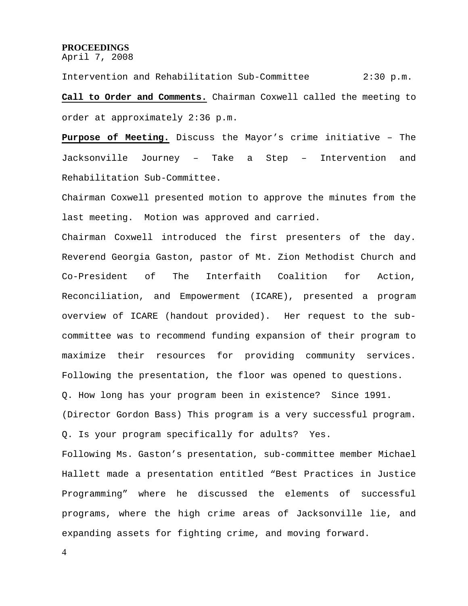#### **PROCEEDINGS**

April 7, 2008

Intervention and Rehabilitation Sub-Committee 2:30 p.m. **Call to Order and Comments.** Chairman Coxwell called the meeting to order at approximately 2:36 p.m.

**Purpose of Meeting.** Discuss the Mayor's crime initiative – The Jacksonville Journey – Take a Step – Intervention and Rehabilitation Sub-Committee.

Chairman Coxwell presented motion to approve the minutes from the last meeting. Motion was approved and carried.

Chairman Coxwell introduced the first presenters of the day. Reverend Georgia Gaston, pastor of Mt. Zion Methodist Church and Co-President of The Interfaith Coalition for Action, Reconciliation, and Empowerment (ICARE), presented a program overview of ICARE (handout provided). Her request to the subcommittee was to recommend funding expansion of their program to maximize their resources for providing community services. Following the presentation, the floor was opened to questions. Q. How long has your program been in existence? Since 1991. (Director Gordon Bass) This program is a very successful program. Q. Is your program specifically for adults? Yes.

Following Ms. Gaston's presentation, sub-committee member Michael Hallett made a presentation entitled "Best Practices in Justice Programming" where he discussed the elements of successful programs, where the high crime areas of Jacksonville lie, and expanding assets for fighting crime, and moving forward.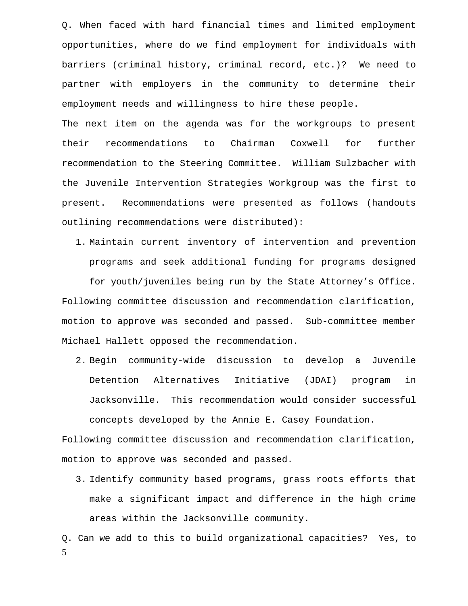Q. When faced with hard financial times and limited employment opportunities, where do we find employment for individuals with barriers (criminal history, criminal record, etc.)? We need to partner with employers in the community to determine their employment needs and willingness to hire these people.

The next item on the agenda was for the workgroups to present their recommendations to Chairman Coxwell for further recommendation to the Steering Committee. William Sulzbacher with the Juvenile Intervention Strategies Workgroup was the first to present. Recommendations were presented as follows (handouts outlining recommendations were distributed):

1. Maintain current inventory of intervention and prevention programs and seek additional funding for programs designed

for youth/juveniles being run by the State Attorney's Office. Following committee discussion and recommendation clarification, motion to approve was seconded and passed. Sub-committee member Michael Hallett opposed the recommendation.

2. Begin community-wide discussion to develop a Juvenile Detention Alternatives Initiative (JDAI) program in Jacksonville. This recommendation would consider successful concepts developed by the Annie E. Casey Foundation.

Following committee discussion and recommendation clarification, motion to approve was seconded and passed.

3. Identify community based programs, grass roots efforts that make a significant impact and difference in the high crime areas within the Jacksonville community.

5 Q. Can we add to this to build organizational capacities? Yes, to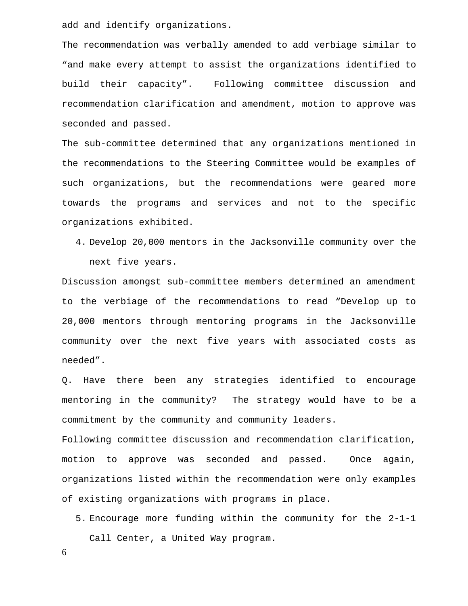add and identify organizations.

The recommendation was verbally amended to add verbiage similar to "and make every attempt to assist the organizations identified to build their capacity". Following committee discussion and recommendation clarification and amendment, motion to approve was seconded and passed.

The sub-committee determined that any organizations mentioned in the recommendations to the Steering Committee would be examples of such organizations, but the recommendations were geared more towards the programs and services and not to the specific organizations exhibited.

4. Develop 20,000 mentors in the Jacksonville community over the next five years.

Discussion amongst sub-committee members determined an amendment to the verbiage of the recommendations to read "Develop up to 20,000 mentors through mentoring programs in the Jacksonville community over the next five years with associated costs as needed".

Q. Have there been any strategies identified to encourage mentoring in the community? The strategy would have to be a commitment by the community and community leaders.

Following committee discussion and recommendation clarification, motion to approve was seconded and passed. Once again, organizations listed within the recommendation were only examples of existing organizations with programs in place.

5. Encourage more funding within the community for the 2-1-1 Call Center, a United Way program.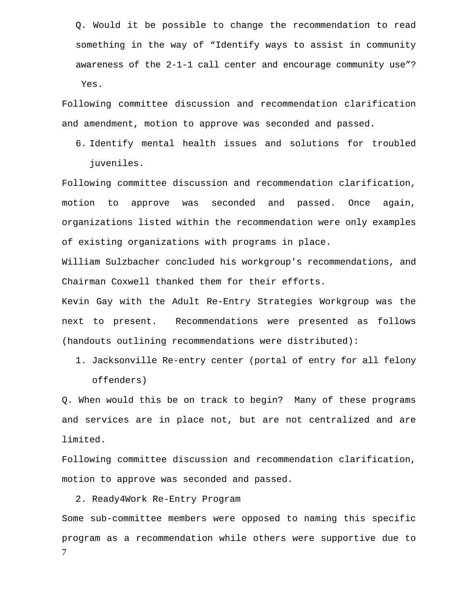Q. Would it be possible to change the recommendation to read something in the way of "Identify ways to assist in community awareness of the 2-1-1 call center and encourage community use"? Yes.

Following committee discussion and recommendation clarification and amendment, motion to approve was seconded and passed.

6. Identify mental health issues and solutions for troubled juveniles.

Following committee discussion and recommendation clarification, motion to approve was seconded and passed. Once again, organizations listed within the recommendation were only examples of existing organizations with programs in place.

William Sulzbacher concluded his workgroup's recommendations, and Chairman Coxwell thanked them for their efforts.

Kevin Gay with the Adult Re-Entry Strategies Workgroup was the next to present. Recommendations were presented as follows (handouts outlining recommendations were distributed):

1. Jacksonville Re-entry center (portal of entry for all felony offenders)

Q. When would this be on track to begin? Many of these programs and services are in place not, but are not centralized and are limited.

Following committee discussion and recommendation clarification, motion to approve was seconded and passed.

2. Ready4Work Re-Entry Program

7 Some sub-committee members were opposed to naming this specific program as a recommendation while others were supportive due to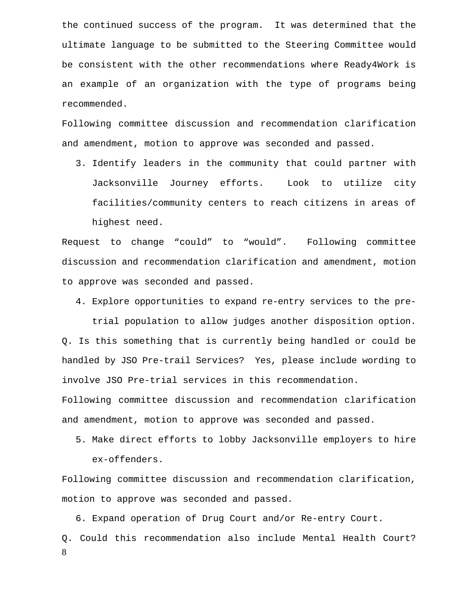the continued success of the program. It was determined that the ultimate language to be submitted to the Steering Committee would be consistent with the other recommendations where Ready4Work is an example of an organization with the type of programs being recommended.

Following committee discussion and recommendation clarification and amendment, motion to approve was seconded and passed.

3. Identify leaders in the community that could partner with Jacksonville Journey efforts. Look to utilize city facilities/community centers to reach citizens in areas of highest need.

Request to change "could" to "would". Following committee discussion and recommendation clarification and amendment, motion to approve was seconded and passed.

4. Explore opportunities to expand re-entry services to the pretrial population to allow judges another disposition option. Q. Is this something that is currently being handled or could be handled by JSO Pre-trail Services? Yes, please include wording to involve JSO Pre-trial services in this recommendation. Following committee discussion and recommendation clarification and amendment, motion to approve was seconded and passed.

5. Make direct efforts to lobby Jacksonville employers to hire ex-offenders.

Following committee discussion and recommendation clarification, motion to approve was seconded and passed.

8 6. Expand operation of Drug Court and/or Re-entry Court. Q. Could this recommendation also include Mental Health Court?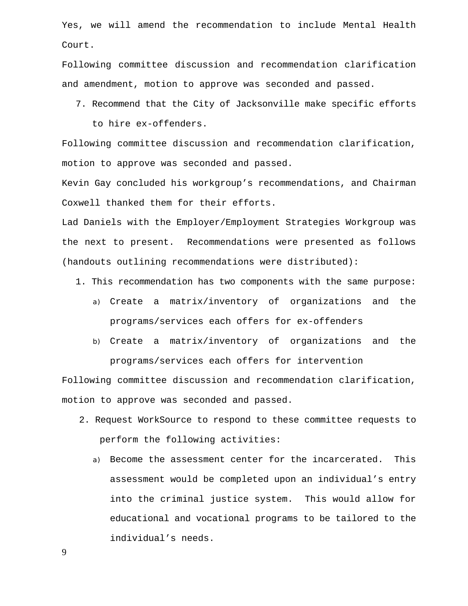Yes, we will amend the recommendation to include Mental Health Court.

Following committee discussion and recommendation clarification and amendment, motion to approve was seconded and passed.

7. Recommend that the City of Jacksonville make specific efforts

to hire ex-offenders.

Following committee discussion and recommendation clarification, motion to approve was seconded and passed.

Kevin Gay concluded his workgroup's recommendations, and Chairman Coxwell thanked them for their efforts.

Lad Daniels with the Employer/Employment Strategies Workgroup was the next to present. Recommendations were presented as follows (handouts outlining recommendations were distributed):

- 1. This recommendation has two components with the same purpose:
	- a) Create a matrix/inventory of organizations and the programs/services each offers for ex-offenders
	- b) Create a matrix/inventory of organizations and the programs/services each offers for intervention

Following committee discussion and recommendation clarification, motion to approve was seconded and passed.

- 2. Request WorkSource to respond to these committee requests to perform the following activities:
	- a) Become the assessment center for the incarcerated. This assessment would be completed upon an individual's entry into the criminal justice system. This would allow for educational and vocational programs to be tailored to the individual's needs.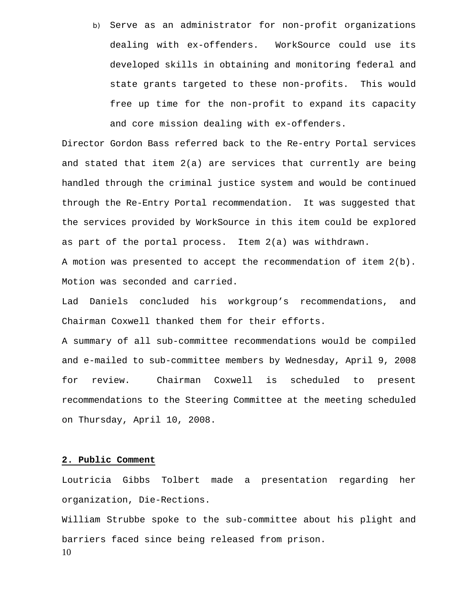b) Serve as an administrator for non-profit organizations dealing with ex-offenders. WorkSource could use its developed skills in obtaining and monitoring federal and state grants targeted to these non-profits. This would free up time for the non-profit to expand its capacity and core mission dealing with ex-offenders.

Director Gordon Bass referred back to the Re-entry Portal services and stated that item 2(a) are services that currently are being handled through the criminal justice system and would be continued through the Re-Entry Portal recommendation. It was suggested that the services provided by WorkSource in this item could be explored as part of the portal process. Item 2(a) was withdrawn.

A motion was presented to accept the recommendation of item 2(b). Motion was seconded and carried.

Lad Daniels concluded his workgroup's recommendations, and Chairman Coxwell thanked them for their efforts.

A summary of all sub-committee recommendations would be compiled and e-mailed to sub-committee members by Wednesday, April 9, 2008 for review. Chairman Coxwell is scheduled to present recommendations to the Steering Committee at the meeting scheduled on Thursday, April 10, 2008.

#### **2. Public Comment**

Loutricia Gibbs Tolbert made a presentation regarding her organization, Die-Rections.

10 William Strubbe spoke to the sub-committee about his plight and barriers faced since being released from prison.